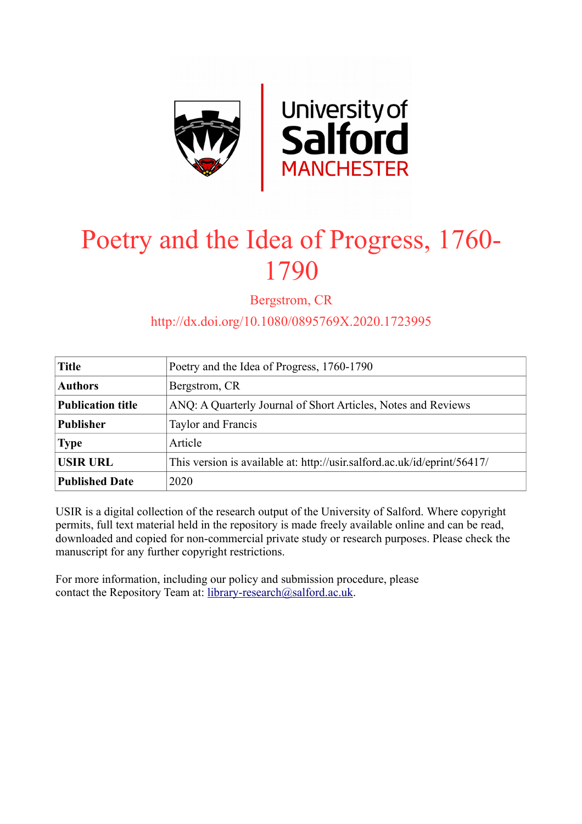

## Poetry and the Idea of Progress, 1760- 1790

Bergstrom, CR

http://dx.doi.org/10.1080/0895769X.2020.1723995

| <b>Title</b>             | Poetry and the Idea of Progress, 1760-1790                               |
|--------------------------|--------------------------------------------------------------------------|
| <b>Authors</b>           | Bergstrom, CR                                                            |
| <b>Publication title</b> | ANQ: A Quarterly Journal of Short Articles, Notes and Reviews            |
| <b>Publisher</b>         | Taylor and Francis                                                       |
| <b>Type</b>              | Article                                                                  |
| <b>USIR URL</b>          | This version is available at: http://usir.salford.ac.uk/id/eprint/56417/ |
| <b>Published Date</b>    | 2020                                                                     |

USIR is a digital collection of the research output of the University of Salford. Where copyright permits, full text material held in the repository is made freely available online and can be read, downloaded and copied for non-commercial private study or research purposes. Please check the manuscript for any further copyright restrictions.

For more information, including our policy and submission procedure, please contact the Repository Team at: [library-research@salford.ac.uk.](mailto:library-research@salford.ac.uk)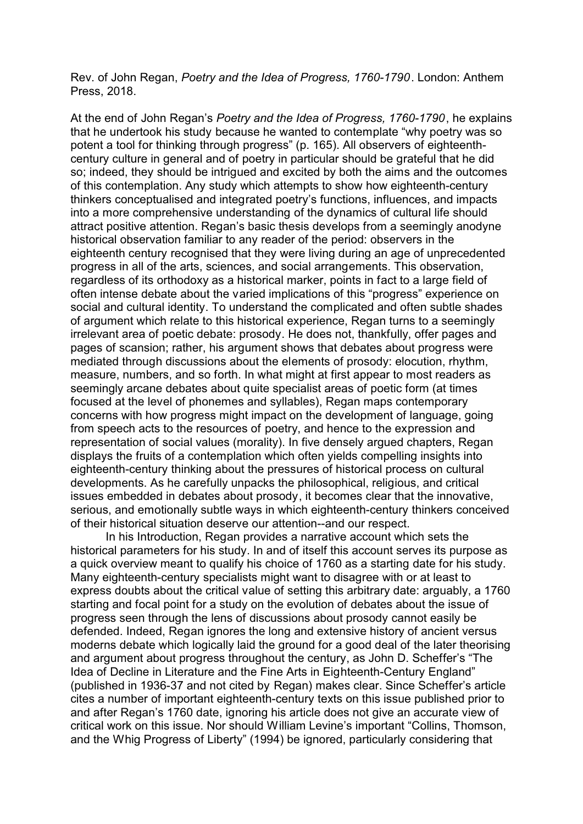Rev. of John Regan, *Poetry and the Idea of Progress, 1760-1790*. London: Anthem Press, 2018.

At the end of John Regan's *Poetry and the Idea of Progress, 1760-1790*, he explains that he undertook his study because he wanted to contemplate "why poetry was so potent a tool for thinking through progress" (p. 165). All observers of eighteenthcentury culture in general and of poetry in particular should be grateful that he did so; indeed, they should be intrigued and excited by both the aims and the outcomes of this contemplation. Any study which attempts to show how eighteenth-century thinkers conceptualised and integrated poetry's functions, influences, and impacts into a more comprehensive understanding of the dynamics of cultural life should attract positive attention. Regan's basic thesis develops from a seemingly anodyne historical observation familiar to any reader of the period: observers in the eighteenth century recognised that they were living during an age of unprecedented progress in all of the arts, sciences, and social arrangements. This observation, regardless of its orthodoxy as a historical marker, points in fact to a large field of often intense debate about the varied implications of this "progress" experience on social and cultural identity. To understand the complicated and often subtle shades of argument which relate to this historical experience, Regan turns to a seemingly irrelevant area of poetic debate: prosody. He does not, thankfully, offer pages and pages of scansion; rather, his argument shows that debates about progress were mediated through discussions about the elements of prosody: elocution, rhythm, measure, numbers, and so forth. In what might at first appear to most readers as seemingly arcane debates about quite specialist areas of poetic form (at times focused at the level of phonemes and syllables), Regan maps contemporary concerns with how progress might impact on the development of language, going from speech acts to the resources of poetry, and hence to the expression and representation of social values (morality). In five densely argued chapters, Regan displays the fruits of a contemplation which often yields compelling insights into eighteenth-century thinking about the pressures of historical process on cultural developments. As he carefully unpacks the philosophical, religious, and critical issues embedded in debates about prosody, it becomes clear that the innovative, serious, and emotionally subtle ways in which eighteenth-century thinkers conceived of their historical situation deserve our attention--and our respect.

In his Introduction, Regan provides a narrative account which sets the historical parameters for his study. In and of itself this account serves its purpose as a quick overview meant to qualify his choice of 1760 as a starting date for his study. Many eighteenth-century specialists might want to disagree with or at least to express doubts about the critical value of setting this arbitrary date: arguably, a 1760 starting and focal point for a study on the evolution of debates about the issue of progress seen through the lens of discussions about prosody cannot easily be defended. Indeed, Regan ignores the long and extensive history of ancient versus moderns debate which logically laid the ground for a good deal of the later theorising and argument about progress throughout the century, as John D. Scheffer's "The Idea of Decline in Literature and the Fine Arts in Eighteenth-Century England" (published in 1936-37 and not cited by Regan) makes clear. Since Scheffer's article cites a number of important eighteenth-century texts on this issue published prior to and after Regan's 1760 date, ignoring his article does not give an accurate view of critical work on this issue. Nor should William Levine's important "Collins, Thomson, and the Whig Progress of Liberty" (1994) be ignored, particularly considering that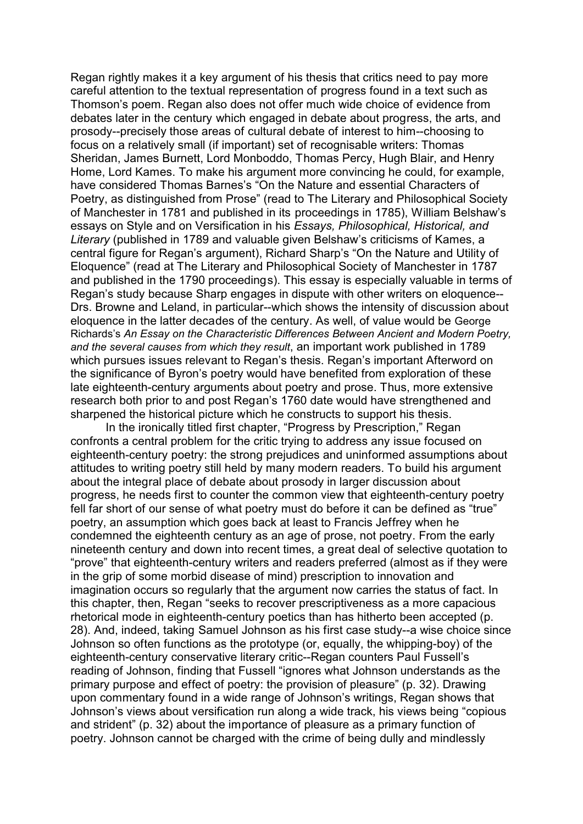Regan rightly makes it a key argument of his thesis that critics need to pay more careful attention to the textual representation of progress found in a text such as Thomson's poem. Regan also does not offer much wide choice of evidence from debates later in the century which engaged in debate about progress, the arts, and prosody--precisely those areas of cultural debate of interest to him--choosing to focus on a relatively small (if important) set of recognisable writers: Thomas Sheridan, James Burnett, Lord Monboddo, Thomas Percy, Hugh Blair, and Henry Home, Lord Kames. To make his argument more convincing he could, for example, have considered Thomas Barnes's "On the Nature and essential Characters of Poetry, as distinguished from Prose" (read to The Literary and Philosophical Society of Manchester in 1781 and published in its proceedings in 1785), William Belshaw's essays on Style and on Versification in his *Essays, Philosophical, Historical, and Literary* (published in 1789 and valuable given Belshaw's criticisms of Kames, a central figure for Regan's argument), Richard Sharp's "On the Nature and Utility of Eloquence" (read at The Literary and Philosophical Society of Manchester in 1787 and published in the 1790 proceedings). This essay is especially valuable in terms of Regan's study because Sharp engages in dispute with other writers on eloquence-- Drs. Browne and Leland, in particular--which shows the intensity of discussion about eloquence in the latter decades of the century. As well, of value would be George Richards's *An Essay on the Characteristic Differences Between Ancient and Modern Poetry, and the several causes from which they result*, an important work published in 1789 which pursues issues relevant to Regan's thesis. Regan's important Afterword on the significance of Byron's poetry would have benefited from exploration of these late eighteenth-century arguments about poetry and prose. Thus, more extensive research both prior to and post Regan's 1760 date would have strengthened and sharpened the historical picture which he constructs to support his thesis.

In the ironically titled first chapter, "Progress by Prescription," Regan confronts a central problem for the critic trying to address any issue focused on eighteenth-century poetry: the strong prejudices and uninformed assumptions about attitudes to writing poetry still held by many modern readers. To build his argument about the integral place of debate about prosody in larger discussion about progress, he needs first to counter the common view that eighteenth-century poetry fell far short of our sense of what poetry must do before it can be defined as "true" poetry, an assumption which goes back at least to Francis Jeffrey when he condemned the eighteenth century as an age of prose, not poetry. From the early nineteenth century and down into recent times, a great deal of selective quotation to "prove" that eighteenth-century writers and readers preferred (almost as if they were in the grip of some morbid disease of mind) prescription to innovation and imagination occurs so regularly that the argument now carries the status of fact. In this chapter, then, Regan "seeks to recover prescriptiveness as a more capacious rhetorical mode in eighteenth-century poetics than has hitherto been accepted (p. 28). And, indeed, taking Samuel Johnson as his first case study--a wise choice since Johnson so often functions as the prototype (or, equally, the whipping-boy) of the eighteenth-century conservative literary critic--Regan counters Paul Fussell's reading of Johnson, finding that Fussell "ignores what Johnson understands as the primary purpose and effect of poetry: the provision of pleasure" (p. 32). Drawing upon commentary found in a wide range of Johnson's writings, Regan shows that Johnson's views about versification run along a wide track, his views being "copious and strident" (p. 32) about the importance of pleasure as a primary function of poetry. Johnson cannot be charged with the crime of being dully and mindlessly